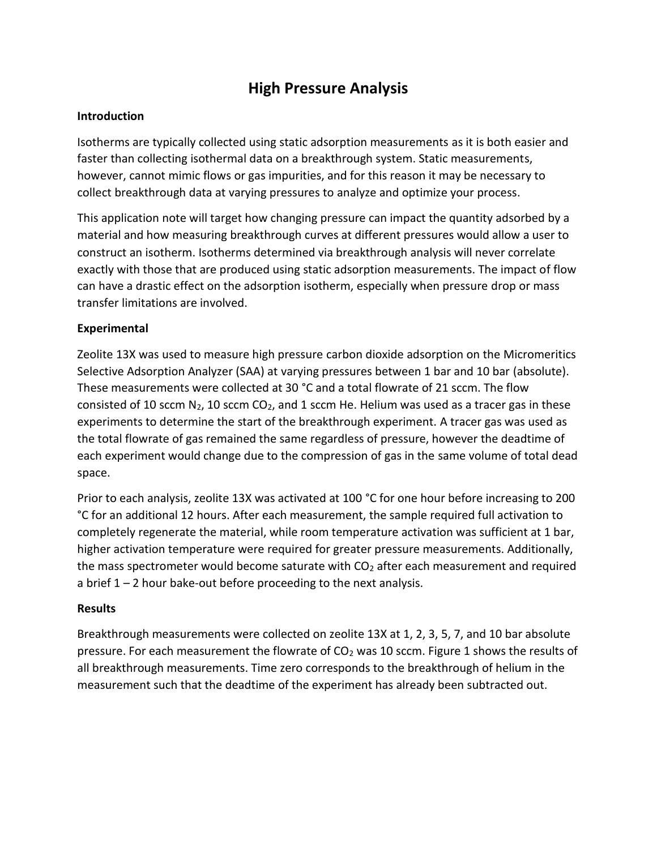# **High Pressure Analysis**

### **Introduction**

Isotherms are typically collected using static adsorption measurements as it is both easier and faster than collecting isothermal data on a breakthrough system. Static measurements, however, cannot mimic flows or gas impurities, and for this reason it may be necessary to collect breakthrough data at varying pressures to analyze and optimize your process.

This application note will target how changing pressure can impact the quantity adsorbed by a material and how measuring breakthrough curves at different pressures would allow a user to construct an isotherm. Isotherms determined via breakthrough analysis will never correlate exactly with those that are produced using static adsorption measurements. The impact of flow can have a drastic effect on the adsorption isotherm, especially when pressure drop or mass transfer limitations are involved.

### **Experimental**

Zeolite 13X was used to measure high pressure carbon dioxide adsorption on the Micromeritics Selective Adsorption Analyzer (SAA) at varying pressures between 1 bar and 10 bar (absolute). These measurements were collected at 30 °C and a total flowrate of 21 sccm. The flow consisted of 10 sccm  $N_2$ , 10 sccm  $CO_2$ , and 1 sccm He. Helium was used as a tracer gas in these experiments to determine the start of the breakthrough experiment. A tracer gas was used as the total flowrate of gas remained the same regardless of pressure, however the deadtime of each experiment would change due to the compression of gas in the same volume of total dead space.

Prior to each analysis, zeolite 13X was activated at 100 °C for one hour before increasing to 200 °C for an additional 12 hours. After each measurement, the sample required full activation to completely regenerate the material, while room temperature activation was sufficient at 1 bar, higher activation temperature were required for greater pressure measurements. Additionally, the mass spectrometer would become saturate with  $CO<sub>2</sub>$  after each measurement and required a brief  $1 - 2$  hour bake-out before proceeding to the next analysis.

#### **Results**

Breakthrough measurements were collected on zeolite 13X at 1, 2, 3, 5, 7, and 10 bar absolute pressure. For each measurement the flowrate of  $CO<sub>2</sub>$  was 10 sccm. Figure 1 shows the results of all breakthrough measurements. Time zero corresponds to the breakthrough of helium in the measurement such that the deadtime of the experiment has already been subtracted out.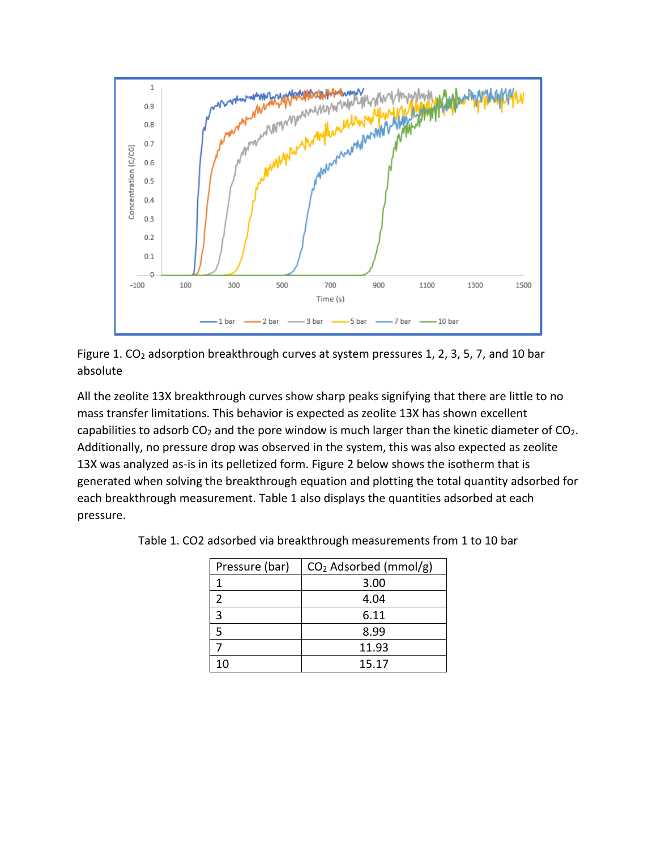



All the zeolite 13X breakthrough curves show sharp peaks signifying that there are little to no mass transfer limitations. This behavior is expected as zeolite 13X has shown excellent capabilities to adsorb  $CO<sub>2</sub>$  and the pore window is much larger than the kinetic diameter of  $CO<sub>2</sub>$ . Additionally, no pressure drop was observed in the system, this was also expected as zeolite 13X was analyzed as-is in its pelletized form. Figure 2 below shows the isotherm that is generated when solving the breakthrough equation and plotting the total quantity adsorbed for each breakthrough measurement. Table 1 also displays the quantities adsorbed at each pressure.

| Pressure (bar) | $CO2$ Adsorbed (mmol/g) |
|----------------|-------------------------|
|                | 3.00                    |
|                | 4.04                    |
| 3              | 6.11                    |
|                | 8.99                    |
|                | 11.93                   |
| 10             | 15.17                   |

Table 1. CO2 adsorbed via breakthrough measurements from 1 to 10 bar